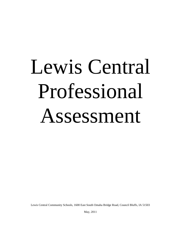# Lewis Central Professional Assessment

Lewis Central Community Schools, 1600 East South Omaha Bridge Road, Council Bluffs, IA 51503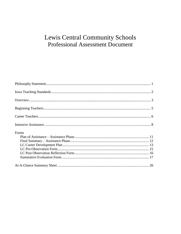### Lewis Central Community Schools **Professional Assessment Document**

| Forms |  |
|-------|--|
|       |  |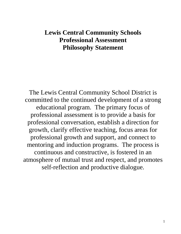### **Lewis Central Community Schools Professional Assessment Philosophy Statement**

The Lewis Central Community School District is committed to the continued development of a strong educational program. The primary focus of professional assessment is to provide a basis for professional conversation, establish a direction for growth, clarify effective teaching, focus areas for professional growth and support, and connect to mentoring and induction programs. The process is continuous and constructive, is fostered in an atmosphere of mutual trust and respect, and promotes self-reflection and productive dialogue.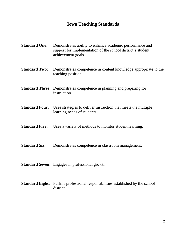### **Iowa Teaching Standards**

| <b>Standard One:</b>  | Demonstrates ability to enhance academic performance and<br>support for implementation of the school district's student<br>achievement goals. |
|-----------------------|-----------------------------------------------------------------------------------------------------------------------------------------------|
| <b>Standard Two:</b>  | Demonstrates competence in content knowledge appropriate to the<br>teaching position.                                                         |
|                       | <b>Standard Three:</b> Demonstrates competence in planning and preparing for<br>instruction.                                                  |
| <b>Standard Four:</b> | Uses strategies to deliver instruction that meets the multiple<br>learning needs of students.                                                 |
| <b>Standard Five:</b> | Uses a variety of methods to monitor student learning.                                                                                        |
| <b>Standard Six:</b>  | Demonstrates competence in classroom management.                                                                                              |
|                       | <b>Standard Seven:</b> Engages in professional growth.                                                                                        |

**Standard Eight:** Fulfills professional responsibilities established by the school district.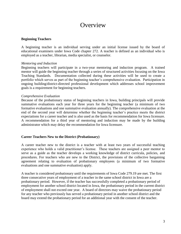### **Overview**

### **Beginning Teachers**

A beginning teacher is an individual serving under an initial license issued by the board of educational examiners under Iowa Code chapter 272. A teacher is defined as an individual who is employed as a teacher, librarian, media specialist, or counselor.

### *Mentoring and Induction*

Beginning teachers will participate in a two-year mentoring and induction program. A trained mentor will guide the beginning teacher through a series of structured activities focusing on the Iowa Teaching Standards. Documentation collected during these activities will be used to create a portfolio which serves as part of the beginning teacher's comprehensive evaluation. Participation in ongoing building/district-directed professional development which addresses school improvement goals is a requirement for beginning teachers.

#### *Comprehensive Evaluation*

Because of the probationary status of beginning teachers in Iowa, building principals will provide summative evaluations each year for three years for the beginning teacher (a minimum of two formative evaluations and one summative evaluation annually). The comprehensive evaluation at the end of the second year will determine whether the beginning teacher's practice meets the district expectations for a career teacher and is also used as the basis for recommendation for Iowa licensure. A recommendation for a third year of mentoring and induction may be made by the building administrator which may delay the recommendation for Iowa licensure.

#### **Career Teachers New to the District (Probationary)**

A career teacher new to the district is a teacher with at least two years of successful teaching experience who holds a valid practitioner's license. These teachers are assigned a peer mentor to serve as a guide as the teacher develops a working knowledge of district curricula, policies, and procedures. For teachers who are new to the District, the provisions of the collective bargaining agreement relating to evaluation of probationary employees (a minimum of two formative evaluations and one summative evaluation) apply.

A teacher is considered probationary until the requirements of Iowa Code 279.19 are met. The first three consecutive years of employment of a teacher in the same school district in Iowa are a probationary period. However, if the teacher has successfully completed a probationary period of employment for another school district located in Iowa, the probationary period in the current district of employment shall not exceed one year. A board of directors may waive the probationary period for any teacher who previously has served a probationary period in another school district and the board may extend the probationary period for an additional year with the consent of the teacher.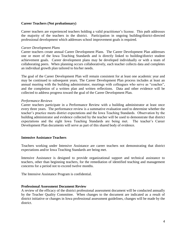#### **Career Teachers (Not probationary)**

Career teachers are experienced teachers holding a valid practitioner's license. This path addresses the majority of the teachers in the district. Participation in ongoing building/district-directed professional development which addresses school improvement goals is required.

#### *Career Development Plans*

Career teachers create annual Career Development Plans. The Career Development Plan addresses one or more of the Iowa Teaching Standards and is directly linked to building/district student achievement goals. Career development plans may be developed individually or with a team of collaborating peers. When planning occurs collaboratively, each teacher collects data and completes an individual growth plan tailored to his/her needs.

The goal of the Career Development Plan will remain consistent for at least one academic year and may be continued to subsequent years. The Career Development Plan process includes at least an annual meeting with the building administrator, meetings with colleagues who serve as "coaches", and the completion of a written plan and written reflections. Data and other evidence will be collected to address progress toward the goal of the Career Development Plan.

#### *Performance Reviews*

Career teachers participate in a Performance Review with a building administrator at least once every three years. The performance review is a summative evaluation used to determine whether the teacher's practice meets district expectations and the Iowa Teaching Standards. Observation by the building administrator and evidence collected by the teacher will be used to demonstrate that district expectations and the eight Iowa Teaching Standards are being met. The teacher's Career Development Plan documents will serve as part of this shared body of evidence.

#### **Intensive Assistance Teachers**

Teachers working under Intensive Assistance are career teachers not demonstrating that district expectations and/or Iowa Teaching Standards are being met.

Intensive Assistance is designed to provide organizational support and technical assistance to teachers, other than beginning teachers, for the remediation of identified teaching and management concerns for a period not to exceed twelve months.

The Intensive Assistance Program is confidential.

#### **Professional Assessment Document Review**

A review of the efficacy of the district professional assessment document will be conducted annually by the Teacher Quality Committee. When changes to the document are indicated as a result of district initiative or changes in Iowa professional assessment guidelines, changes will be made by the district.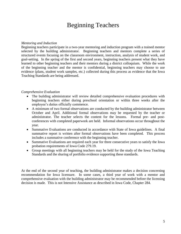### Beginning Teachers

#### *Mentoring and Induction*

Beginning teachers participate in a two-year mentoring and induction program with a trained mentor selected by the building administrator. Beginning teachers and mentors complete a series of structured events focusing on the classroom environment, instruction, analysis of student work, and goal-setting. In the spring of the first and second years, beginning teachers present what they have learned to other beginning teachers and their mentors during a district colloquium. While the work of the beginning teacher and the mentor is confidential, beginning teachers may choose to use evidence (plans, student work samples, etc.) collected during this process as evidence that the Iowa Teaching Standards are being addressed.

#### *Comprehensive Evaluation*

- The building administrator will review detailed comprehensive evaluation procedures with beginning teachers either during preschool orientation or within three weeks after the employee's duties officially commence.
- A minimum of two formal observations are conducted by the building administrator between October and April. Additional formal observations may be requested by the teacher or administrator. The teacher selects the content for the lessons. Formal pre- and postconferences with completed paperwork are held. Informal observations occur throughout the year.
- Summative Evaluations are conducted in accordance with State of Iowa guidelines. A final summative report is written after formal observations have been completed. This process includes a summative conference with the beginning teacher.
- Summative Evaluations are required each year for three consecutive years to satisfy the Iowa probation requirements of Iowa Code 279.19.
- Group meetings with all beginning teachers may be held for the study of the Iowa Teaching Standards and the sharing of portfolio evidence supporting these standards.

At the end of the second year of teaching, the building administrator makes a decision concerning recommendation for Iowa licensure. In some cases, a third year of work with a mentor and comprehensive evaluation with the building administrator may be recommended before the licensing decision is made. This is not Intensive Assistance as described in Iowa Code, Chapter 284.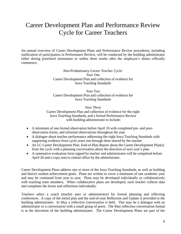### Career Development Plan and Performance Review Cycle for Career Teachers

An annual overview of Career Development Plans and Performance Review procedures, including notification of participation in Performance Review, will be conducted by the building administrator either during preschool orientation or within three weeks after the employee's duties officially commence.

> *Non-Probationary Career Teacher Cycle: Year One* Career Development Plan and collection of evidence for Iowa Teaching Standards

> *Year Two* Career Development Plan and collection of evidence for Iowa Teaching Standards

*Year Three* Career Development Plan and collection of evidence for the eight Iowa Teaching Standards, and a formal Performance Review with building administrator to include:

- A minimum of one formal observation before April 10 with completed pre- and postobservation forms, and informal observations throughout the year
- A dialogue about teacher performance addressing the eight Iowa Teaching Standards with supporting evidence from cycle years one through three shared by the teacher
- An LC Career Development Plan: End-of-Plan Report about the Career Development Plan(s) from the cycle with a planning conversation about the direction of next year's plan
- A summative evaluation form signed by teacher and administrator will be completed before April 20 and a copy sent to central office by the administrator.

Career Development Plans address one or more of the Iowa Teaching Standards, as well as building and district student achievement goals. Plans are written to cover a minimum of one academic year and may be continued from year to year. Plans may be developed individually or collaboratively with teaching team members. When collaborative plans are developed, each teacher collects data and completes the forms and reflections individually.

Teachers select a coach (teacher peer or administrator) for formal planning and reflecting conferences. A copy of the initial plan and the end-of-year Reflection and Update is provided to the building administrator. In May a reflective conversation is held. This may be a dialogue with an administrator or a conversation with a small group of peers. The May reflection conversation format is at the discretion of the building administrator. The Career Development Plans are part of the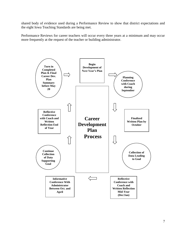shared body of evidence used during a Performance Review to show that district expectations and the eight Iowa Teaching Standards are being met.

Performance Reviews for career teachers will occur every three years at a minimum and may occur more frequently at the request of the teacher or building administrator.

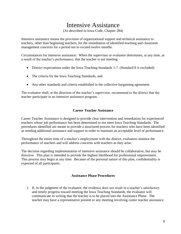### Intensive Assistance

(As described in Iowa Code, Chapter 284)

Intensive assistance means the provision of organizational support and technical assistance to teachers, other than beginning teachers, for the remediation of identified teaching and classroom management concerns for a period not to exceed twelve months.

Circumstances for intensive assistance: When the supervisor or evaluator determines, at any time, as a result of the teacher's performance, that the teacher is not meeting

- District expectations under the Iowa Teaching Standards 1-7. (Standard 8 is excluded)
- The criteria for the Iowa Teaching Standards, and
- Any other standards and criteria established in the collective bargaining agreement.

The evaluator shall, at the direction of the teacher's supervisor, recommend to the district that the teacher participate in an intensive assistance program.

### **Career Teacher Assistance**

Career Teacher Assistance is designed to provide clear intervention and remediation for experienced teachers whose job performance has been determined to not meet Iowa Teaching Standards. The procedures identified are meant to provide a structured process for teachers who have been identified as needing additional assistance and support in order to maintain an acceptable level of performance.

Throughout the entire time of a teacher's employment with the district, evaluators monitor the performance of teachers and will address concerns with teachers as they arise.

The decision regarding implementation of intensive assistance should be collaborative, but may be directive. This plan is intended to provide the highest likelihood for professional improvement. This process may begin at any time. Because of the personal nature of this plan, confidentiality is expected of all participants.

### **Assistance Phase Procedures**

1. If, in the judgment of the evaluator, the evidence does not result in a teacher's satisfactory and timely progress toward meeting the Iowa Teaching Standards, the evaluator will communicate in writing that the teacher is to be placed into the Assistance Phase. The teacher may have a representative present or any meeting involving career teacher assistance.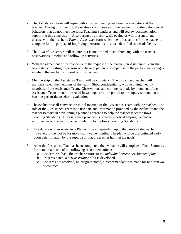- 2. The Assistance Phase will begin with a formal meeting between the evaluator and the teacher. During this meeting, the evaluator will convey to the teacher, in writing, the specific behaviors that do not meet the Iowa Teaching Standards and will review documentation supporting this conclusion. Also during this meeting, the evaluator will present to and discuss with the teacher a *Plan of Assistance* form which identifies actions for the teacher to complete for the purpose of improving performance in areas identified as unsatisfactory.
- 3. The *Plan of Assistance* will require, but is not limited to, conferencing with the teacher, observations, timeline and follow-up activities.
- 4. With the agreement of the teacher or at the request of the teacher, an Assistance Team shall be created consisting of persons who have experience or expertise in the performance area(s) in which the teacher is in need of improvement.
- 5. Membership on the Assistance Team will be voluntary. The district and teacher will mutually select the members of the team. Strict confidentiality will be maintained by members of the Assistance Team. Observations and comments made by members of the Assistance Team are not presented in writing, are not reported to the supervisor, and do not become part of the teacher's evaluation.
- 6. The evaluator shall convene the initial meeting of the Assistance Team with the teacher. The role of the Assistance Team is to use data and information provided by the evaluator and the teacher to assist in developing a planned approach to help the teacher meet the Iowa Teaching Standards. The assistance provided is targeted solely at helping the teacher improve her or his performance in relation to the Iowa Teaching Standards.
- 7. The duration of an Assistance Plan will vary, depending upon the needs of the teacher; however, it may not be for more than twelve months. The plan will be discontinued early upon determination by the supervisor that the teacher has met the goals.
- 8. After the Assistance Plan has been completed, the evaluator will complete a Final Summary form and make one of the following recommendations:
	- a. Concern resolved, the teacher returns to the *individual career development plan*.
	- b. Progress noted, a *new assistance plan* is developed.
	- c. Concerns not resolved, no progress noted, a recommendation is made for non-renewal of contract.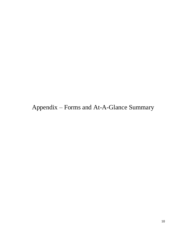Appendix – Forms and At-A-Glance Summary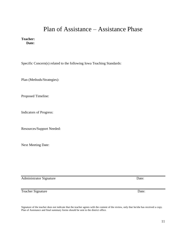### Plan of Assistance – Assistance Phase

**Teacher: Date:**

Specific Concern(s) related to the following Iowa Teaching Standards:

Plan (Methods/Strategies):

Proposed Timeline:

Indicators of Progress:

Resources/Support Needed:

Next Meeting Date:

Administrator Signature Date:

Teacher Signature Date:

Signature of the teacher does not indicate that the teacher agrees with the content of the review, only that he/she has received a copy. Plan of Assistance and final summary forms should be sent to the district office.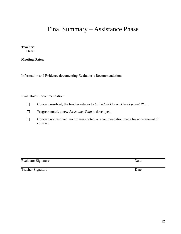### Final Summary – Assistance Phase

**Teacher: Date:**

**Meeting Dates:**

Information and Evidence documenting Evaluator's Recommendation:

### Evaluator's Recommendation:

- $\Box$ Concern resolved, the teacher returns to *Individual Career Development Plan.*
- Progress noted, a new *Assistance Plan* is developed.  $\Box$
- Concern not resolved, no progress noted, a recommendation made for non-renewal of  $\Box$ contract.

| <b>Evaluator Signature</b> | Date: |
|----------------------------|-------|
|----------------------------|-------|

Teacher Signature Date: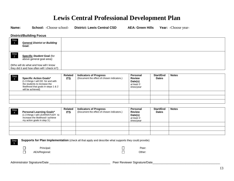### **Lewis Central Professional Development Plan**

**Name: School:** -Choose school- **District: Lewis Central CSD AEA: Green Hills Year:** -Choose year-

**District/Building Focus**

| <b>Step</b>            | <b>General District or Building</b><br>Goal:                                         |  |
|------------------------|--------------------------------------------------------------------------------------|--|
| Step<br>$\overline{2}$ | <b>Specific Student Goal (for</b><br>above general goal area):                       |  |
|                        | (Who will do what and how will I know<br>they did it and how often will I check in?) |  |

| Step<br>$\begin{bmatrix} 3 \end{bmatrix}$ | <b>Specific Action Goals*</b><br>(1-3 things I will DO for and with<br>the students to increase the<br>likelihood that goals in steps 1 & 2<br>will be achieved) | <b>Related</b><br><b>ITS</b> | <b>Indicators of Progress</b><br>(Document the effect of chosen indicators.) | Personal<br><b>Review</b><br>Date(s)<br>at least 3<br>times/year | Start/End<br><b>Dates</b> | <b>Notes</b> |
|-------------------------------------------|------------------------------------------------------------------------------------------------------------------------------------------------------------------|------------------------------|------------------------------------------------------------------------------|------------------------------------------------------------------|---------------------------|--------------|
|                                           |                                                                                                                                                                  |                              |                                                                              |                                                                  |                           |              |
|                                           |                                                                                                                                                                  |                              |                                                                              |                                                                  |                           |              |
|                                           |                                                                                                                                                                  |                              |                                                                              |                                                                  |                           |              |

| Step | <b>Personal Learning Goals*</b><br>(1-3 things I will LEARN/STUDY to<br>increase the likelihood I achieve<br>my action goals in step 3.) | <b>Related</b><br><b>ITS</b> | <b>Indicators of Progress</b><br>(Document the effect of chosen indicators.) | <b>Personal</b><br><b>Review</b><br>Date(s)<br>at least 3<br>times/year | Start/End<br><b>Dates</b> | <b>Notes</b> |
|------|------------------------------------------------------------------------------------------------------------------------------------------|------------------------------|------------------------------------------------------------------------------|-------------------------------------------------------------------------|---------------------------|--------------|
|      |                                                                                                                                          |                              |                                                                              |                                                                         |                           |              |
|      |                                                                                                                                          |                              |                                                                              |                                                                         |                           |              |
|      |                                                                                                                                          |                              |                                                                              |                                                                         |                           |              |

**Supports for Plan Implementation** (check all that apply and describe what supports they could provide)

|  |  | Prin |
|--|--|------|
|  |  |      |

Principal: Peer:

 $\Box$  $\Box$ AEA/Regional: Channel Communication of the Channel Communication of the Channel Communication of the Channel Communication of the Channel Communication of the Channel Communication of the Channel Communication of the Chann

Administrator Signature/Date \_\_\_\_\_\_\_\_\_\_\_\_\_\_\_\_\_\_\_\_\_\_\_\_\_\_\_\_\_\_\_\_\_\_\_\_\_ Peer Reviewer Signature/Date\_\_\_\_\_\_\_\_\_\_\_\_\_\_\_\_\_\_\_\_\_\_\_\_\_\_\_\_\_\_\_\_\_\_\_\_\_\_\_\_\_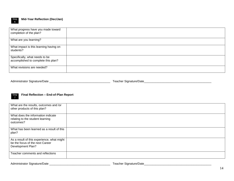

#### **Mid-Year Reflection (Dec/Jan)**

| What progress have you made toward<br>completion of the plan?         |  |
|-----------------------------------------------------------------------|--|
| What are you learning?                                                |  |
| What impact is this learning having on<br>students?                   |  |
| Specifically, what needs to be<br>accomplished to complete this plan? |  |
| What revisions are needed?                                            |  |

Administrator Signature/Date \_\_\_\_\_\_\_\_\_\_\_\_\_\_\_\_\_\_\_\_\_\_\_\_\_\_\_\_\_\_\_\_\_\_\_\_\_ Teacher Signature/Date\_\_\_\_\_\_\_\_\_\_\_\_\_\_\_\_\_\_\_\_\_\_\_\_\_\_\_\_\_\_\_\_\_\_\_\_\_\_\_\_\_

#### Step 7 **Final Reflection – End-of-Plan Report**

| What are the results, outcomes and /or<br>other products of this plan?                             |  |
|----------------------------------------------------------------------------------------------------|--|
| What does the information indicate<br>relating to the student learning<br>outcomes?                |  |
| What has been learned as a result of this<br>plan?                                                 |  |
| As a result of this experience, what might<br>be the focus of the next Career<br>Development Plan? |  |
| Teacher comments and reflections                                                                   |  |

Administrator Signature/Date \_\_\_\_\_\_\_\_\_\_\_\_\_\_\_\_\_\_\_\_\_\_\_\_\_\_\_\_\_\_\_\_\_\_\_\_\_ Teacher Signature/Date\_\_\_\_\_\_\_\_\_\_\_\_\_\_\_\_\_\_\_\_\_\_\_\_\_\_\_\_\_\_\_\_\_\_\_\_\_\_\_\_\_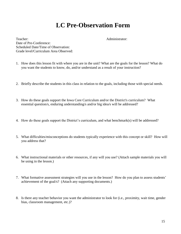### **LC Pre-Observation Form**

Teacher: Administrator: Date of Pre-Conference: Scheduled Date/Time of Observation: Grade level/Curriculum Area Observed:

- 1. How does this lesson fit with where you are in the unit? What are the goals for the lesson? What do you want the students to know, do, and/or understand as a result of your instruction?
- 2. Briefly describe the students in this class in relation to the goals, including those with special needs.
- 3. How do these goals support the Iowa Core Curriculum and/or the District's curriculum? What essential question/s, enduring understanding/s and/or big idea/s will be addressed?
- 4. How do these goals support the District's curriculum, and what benchmark(s) will be addressed?
- 5. What difficulties/misconceptions do students typically experience with this concept or skill? How will you address that?
- 6. What instructional materials or other resources, if any will you use? (Attach sample materials you will be using in the lesson.)
- 7. What formative assessment strategies will you use in the lesson? How do you plan to assess students' achievement of the goal/s? (Attach any supporting documents.)
- 8. Is there any teacher behavior you want the administrator to look for (i.e., proximity, wait time, gender bias, classroom management, etc.)?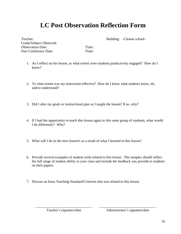## **LC Post Observation Reflection Form**

Teacher: Building: -Choose school-Grade/Subject Observed: Observation Date: Time: Post Conference Date: Time:

- 1. As I reflect on the lesson, to what extent were students productively engaged? How do I know?
- 2. To what extent was my instruction effective? How do I know what students know, do, and/or understand?
- 3. Did I alter my goals or instructional plan as I taught the lesson? If so, why?
- 4. If I had the opportunity to teach this lesson again to this same group of students, what would I do differently? Why?
- 5. What will I do in the next lesson/s as a result of what I learned in this lesson?
- 6. Provide several examples of student work related to this lesson. The samples should reflect the full range of student ability in your class and include the feedback you provide to students on their papers.

\_\_\_\_\_\_\_\_\_\_\_\_\_\_\_\_\_\_\_\_\_\_\_\_\_\_\_\_\_\_\_\_ \_\_\_\_\_\_\_\_\_\_\_\_\_\_\_\_\_\_\_\_\_\_\_\_\_\_\_\_\_\_\_\_

7. Discuss an Iowa Teaching Standard/Criterion that was related to this lesson.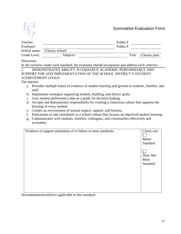

### Summative Evaluation Form

| Teacher:     |                              | Folder# |                     |
|--------------|------------------------------|---------|---------------------|
| Evaluator:   |                              | Folder# |                     |
|              | School name: -Choose school- |         |                     |
| Grade Level: | Subjects:                    |         | Year - Choose year- |

### Directions:

In the narrative under each standard, the evaluator should incorporate and address each criterion.

1. DEMONSTRATES ABILITY TO ENHANCE ACADEMIC PERFORMANCE AND SUPPORT FOR AND IMPLEMENTATION OF THE SCHOOL DISTRICT'S STUDENT ACHIEVEMENT GOALS.

The teacher:

- a. Provides multiple forms of evidence of student learning and growth to students, families, and staff.
- b. Implements strategies supporting student, building, and district goals.
- c. Uses student performance data as a guide for decision making.
- d. Accepts and demonstrates responsibility for creating a classroom culture that supports the learning of every student.
- e. Creates an environment of mutual respect, rapport, and fairness.
- f. Participates in and contributes to a school culture that focuses on improved student learning.
- g. Communicates with students, families, colleagues, and communities effectively and accurately.

| Evidence to support attainment of or failure to meet standards: | Check one:<br>Meets<br>Standard |
|-----------------------------------------------------------------|---------------------------------|
|                                                                 | Does Not<br>Meet<br>Standard    |
|                                                                 |                                 |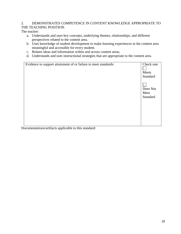### 2. DEMONSTRATES COMPETENCE IN CONTENT KNOWLEDGE APPROPRIATE TO THE TEACHING POSITION.

The teacher:

- a. Understands and uses key concepts, underlying themes, relationships, and different perspectives related to the content area.
- b. Uses knowledge of student development to make learning experiences in the content area meaningful and accessible for every student.
- c. Relates ideas and information within and across content areas.
- d. Understands and uses instructional strategies that are appropriate to the content area.

| Evidence to support attainment of or failure to meet standards:                                                                                                                                                                                                                                                                                           | Check one: |
|-----------------------------------------------------------------------------------------------------------------------------------------------------------------------------------------------------------------------------------------------------------------------------------------------------------------------------------------------------------|------------|
|                                                                                                                                                                                                                                                                                                                                                           |            |
|                                                                                                                                                                                                                                                                                                                                                           | Meets      |
|                                                                                                                                                                                                                                                                                                                                                           | Standard   |
|                                                                                                                                                                                                                                                                                                                                                           | Does Not   |
|                                                                                                                                                                                                                                                                                                                                                           | Meet       |
|                                                                                                                                                                                                                                                                                                                                                           | Standard   |
|                                                                                                                                                                                                                                                                                                                                                           |            |
|                                                                                                                                                                                                                                                                                                                                                           |            |
|                                                                                                                                                                                                                                                                                                                                                           |            |
|                                                                                                                                                                                                                                                                                                                                                           |            |
|                                                                                                                                                                                                                                                                                                                                                           |            |
| $\sum_{i=1}^{n} \frac{1}{i!} \sum_{i=1}^{n} \frac{1}{i!} \sum_{i=1}^{n} \frac{1}{i!} \sum_{i=1}^{n} \frac{1}{i!} \sum_{i=1}^{n} \frac{1}{i!} \sum_{i=1}^{n} \frac{1}{i!} \sum_{i=1}^{n} \frac{1}{i!} \sum_{i=1}^{n} \frac{1}{i!} \sum_{i=1}^{n} \frac{1}{i!} \sum_{i=1}^{n} \frac{1}{i!} \sum_{i=1}^{n} \frac{1}{i!} \sum_{i=1}^{n} \frac{1}{i!} \sum_{i$ |            |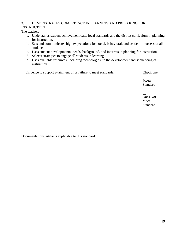### 3. DEMONSTRATES COMPETENCE IN PLANNING AND PREPARING FOR INSTRUCTION.

The teacher:

- a. Understands student achievement data, local standards and the district curriculum in planning for instruction.
- b. Sets and communicates high expectations for social, behavioral, and academic success of all students.
- c. Uses student developmental needs, background, and interests in planning for instruction.
- d. Selects strategies to engage all students in learning.
- e. Uses available resources, including technologies, in the development and sequencing of instruction.

| Evidence to support attainment of or failure to meet standards: | Check one:<br>Meets<br>Standard |
|-----------------------------------------------------------------|---------------------------------|
|                                                                 | Does Not<br>Meet<br>Standard    |
|                                                                 |                                 |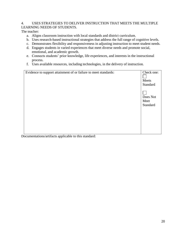### 4. USES STRATEGIES TO DELIVER INSTRUCTION THAT MEETS THE MULTIPLE LEARNING NEEDS OF STUDENTS.

The teacher:

- a. Aligns classroom instruction with local standards and district curriculum.
- b. Uses research-based instructional strategies that address the full range of cognitive levels.
- c. Demonstrates flexibility and responsiveness in adjusting instruction to meet student needs.
- d. Engages students in varied experiences that meet diverse needs and promote social, emotional, and academic growth.
- e. Connects students' prior knowledge, life experiences, and interests in the instructional process.
- f. Uses available resources, including technologies, in the delivery of instruction.

| Evidence to support attainment of or failure to meet standards: | Check one:<br>Meets<br>Standard |
|-----------------------------------------------------------------|---------------------------------|
|                                                                 | Does Not<br>Meet<br>Standard    |
|                                                                 |                                 |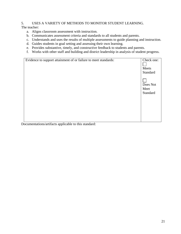### 5. USES A VARIETY OF METHODS TO MONITOR STUDENT LEARNING.

The teacher:

- a. Aligns classroom assessment with instruction.
- b. Communicates assessment criteria and standards to all students and parents.
- c. Understands and uses the results of multiple assessments to guide planning and instruction.
- d. Guides students in goal setting and assessing their own learning.
- e. Provides substantive, timely, and constructive feedback to students and parents.
- f. Works with other staff and building and district leadership in analysis of student progress.

| Meets    |
|----------|
| Standard |
| Does Not |
| Meet     |
| Standard |
|          |
|          |
|          |
|          |
|          |
|          |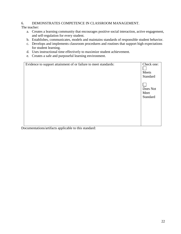### 6. DEMONSTRATES COMPETENCE IN CLASSROOM MANAGEMENT.

The teacher:

- a. Creates a learning community that encourages positive social interaction, active engagement, and self-regulation for every student.
- b. Establishes, communicates, models and maintains standards of responsible student behavior.
- c. Develops and implements classroom procedures and routines that support high expectations for student learning.
- d. Uses instructional time effectively to maximize student achievement.
- e. Creates a safe and purposeful learning environment.

| Check one:<br>Meets |
|---------------------|
| Standard            |
|                     |
| Does Not            |
| Meet                |
| Standard            |
|                     |
|                     |
|                     |
|                     |
|                     |
|                     |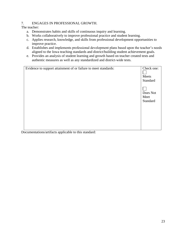### 7. ENGAGES IN PROFESSIONAL GROWTH.

The teacher:

- a. Demonstrates habits and skills of continuous inquiry and learning.
- b. Works collaboratively to improve professional practice and student learning.
- c. Applies research, knowledge, and skills from professional development opportunities to improve practice.
- d. Establishes and implements professional development plans based upon the teacher's needs aligned to the Iowa teaching standards and district/building student achievement goals.
- e. Provides an analysis of student learning and growth based on teacher created tests and authentic measures as well as any standardized and district-wide tests.

| Evidence to support attainment of or failure to meet standards: | Check one:<br>Meets<br>Standard |
|-----------------------------------------------------------------|---------------------------------|
|                                                                 | Does Not<br>Meet<br>Standard    |
|                                                                 |                                 |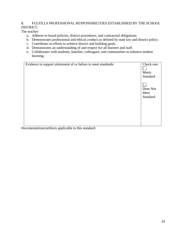### 8. FULFILLS PROFESSIONAL RESPONSIBILITIES ESTABLISHED BY THE SCHOOL DISTRICT.

The teacher:

- a. Adheres to board policies, district procedures, and contractual obligations.
- b. Demonstrates professional and ethical conduct as defined by state law and district policy.
- c. Contributes to efforts to achieve district and building goals.
- d. Demonstrates an understanding of and respect for all learners and staff.
- e. Collaborates with students, families, colleagues, and communities to enhance student learning.

| Evidence to support attainment of or failure to meet standards:                                                                                                                                                                                                                                                                                                                                                 | Check one:<br>Meets<br>Standard |
|-----------------------------------------------------------------------------------------------------------------------------------------------------------------------------------------------------------------------------------------------------------------------------------------------------------------------------------------------------------------------------------------------------------------|---------------------------------|
|                                                                                                                                                                                                                                                                                                                                                                                                                 | Does Not<br>Meet<br>Standard    |
| $\mathbf{u} = \mathbf{u} + \mathbf{v} + \mathbf{v} + \mathbf{v}$ , where $\mathbf{u} = \mathbf{u} + \mathbf{v} + \mathbf{v} + \mathbf{v} + \mathbf{v} + \mathbf{v} + \mathbf{v} + \mathbf{v} + \mathbf{v} + \mathbf{v} + \mathbf{v} + \mathbf{v} + \mathbf{v} + \mathbf{v} + \mathbf{v} + \mathbf{v} + \mathbf{v} + \mathbf{v} + \mathbf{v} + \mathbf{v} + \mathbf{v} + \mathbf{v} + \mathbf{v} + \mathbf{v} +$ |                                 |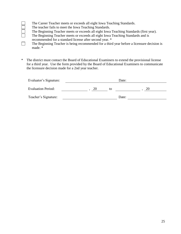### The Career Teacher meets or exceeds all eight Iowa Teaching Standards.

- The teacher fails to meet the Iowa Teaching Standards.
- The Beginning Teacher meets or exceeds all eight Iowa Teaching Standards (first year).
- The Beginning Teacher meets or exceeds all eight Iowa Teaching Standards and is recommended for a standard license after second year. \*
- $\Box$ The Beginning Teacher is being recommended for a third year before a licensure decision is made. \*
- \* The district must contact the Board of Educational Examiners to extend the provisional license for a third year. Use the form provided by the Board of Educational Examiners to communicate the licensure decision made for a 2nd year teacher.

| Evaluator's Signature:    | Date: |       |    |
|---------------------------|-------|-------|----|
| <b>Evaluation Period:</b> | 20    | to    | 20 |
| Teacher's Signature:      |       | Date: |    |